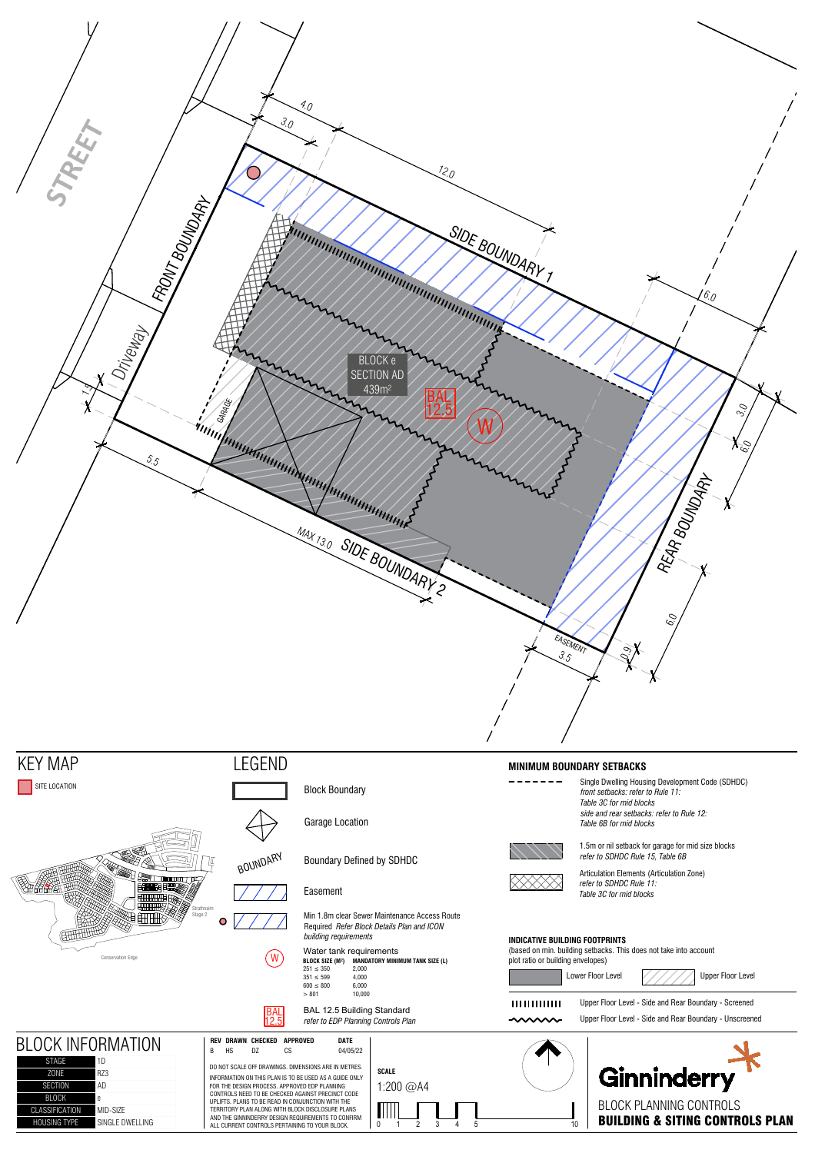

|                                                                                             | $351 \le 599$<br>4.000<br>6.000<br>$600 \leq 800$                                                                                                                                                                    |                           |                                     | Lower Floor Level<br>Upper Floor Level                                                                           |  |  |
|---------------------------------------------------------------------------------------------|----------------------------------------------------------------------------------------------------------------------------------------------------------------------------------------------------------------------|---------------------------|-------------------------------------|------------------------------------------------------------------------------------------------------------------|--|--|
|                                                                                             | 10,000<br>> 801<br>BAL 12.5 Building Standard<br><b>BAL</b><br>12.5<br>refer to EDP Planning Controls Plan                                                                                                           |                           | 1111111111111<br>$\sim\sim\sim\sim$ | Upper Floor Level - Side and Rear Boundary - Screened<br>Upper Floor Level - Side and Rear Boundary - Unscreened |  |  |
| <b>BLOCK INFORMATION</b>                                                                    | DATE<br>REV DRAWN CHECKED<br>APPROVED<br>04/05/22<br>B<br><b>HS</b><br>CS<br>DZ                                                                                                                                      |                           |                                     |                                                                                                                  |  |  |
| STAGE<br>l 1D<br>RZ3<br><b>ZONE</b><br><b>AD</b><br><b>SECTION</b>                          | DO NOT SCALE OFF DRAWINGS. DIMENSIONS ARE IN METRES.<br>INFORMATION ON THIS PLAN IS TO BE USED AS A GUIDE ONLY<br>FOR THE DESIGN PROCESS. APPROVED EDP PLANNING<br>CONTROLS NEED TO BE CHECKED AGAINST PRECINCT CODE | <b>SCALE</b><br>1:200 @A4 |                                     | Ginninderry                                                                                                      |  |  |
| <b>BLOCK</b><br><b>CLASSIFICATION</b><br>MID-SIZE<br><b>HOUSING TYPE</b><br>SINGLE DWELLING | UPLIFTS. PLANS TO BE READ IN CONJUNCTION WITH THE<br>TERRITORY PLAN ALONG WITH BLOCK DISCLOSURE PLANS<br>AND THE GINNINDERRY DESIGN REQUIREMENTS TO CONFIRM<br>ALL CURRENT CONTROLS PERTAINING TO YOUR BLOCK.        | 0                         |                                     | BLOCK PLANNING CONTROLS<br><b>BUILDING &amp; SITING CONTROLS PLAN</b>                                            |  |  |